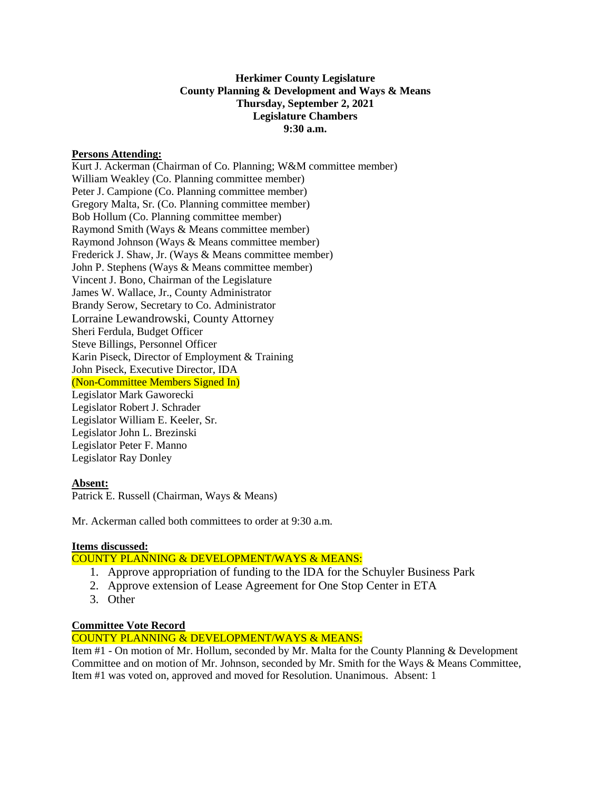#### **Herkimer County Legislature County Planning & Development and Ways & Means Thursday, September 2, 2021 Legislature Chambers 9:30 a.m.**

#### **Persons Attending:**

Kurt J. Ackerman (Chairman of Co. Planning; W&M committee member) William Weakley (Co. Planning committee member) Peter J. Campione (Co. Planning committee member) Gregory Malta, Sr. (Co. Planning committee member) Bob Hollum (Co. Planning committee member) Raymond Smith (Ways & Means committee member) Raymond Johnson (Ways & Means committee member) Frederick J. Shaw, Jr. (Ways & Means committee member) John P. Stephens (Ways & Means committee member) Vincent J. Bono, Chairman of the Legislature James W. Wallace, Jr., County Administrator Brandy Serow, Secretary to Co. Administrator Lorraine Lewandrowski, County Attorney Sheri Ferdula, Budget Officer Steve Billings, Personnel Officer Karin Piseck, Director of Employment & Training John Piseck, Executive Director, IDA (Non-Committee Members Signed In) Legislator Mark Gaworecki Legislator Robert J. Schrader Legislator William E. Keeler, Sr. Legislator John L. Brezinski Legislator Peter F. Manno Legislator Ray Donley

#### **Absent:**

Patrick E. Russell (Chairman, Ways & Means)

Mr. Ackerman called both committees to order at 9:30 a.m.

## **Items discussed:**

# COUNTY PLANNING & DEVELOPMENT/WAYS & MEANS:

- 1. Approve appropriation of funding to the IDA for the Schuyler Business Park
- 2. Approve extension of Lease Agreement for One Stop Center in ETA
- 3. Other

## **Committee Vote Record**

## COUNTY PLANNING & DEVELOPMENT/WAYS & MEANS:

Item #1 - On motion of Mr. Hollum, seconded by Mr. Malta for the County Planning & Development Committee and on motion of Mr. Johnson, seconded by Mr. Smith for the Ways & Means Committee, Item #1 was voted on, approved and moved for Resolution. Unanimous. Absent: 1